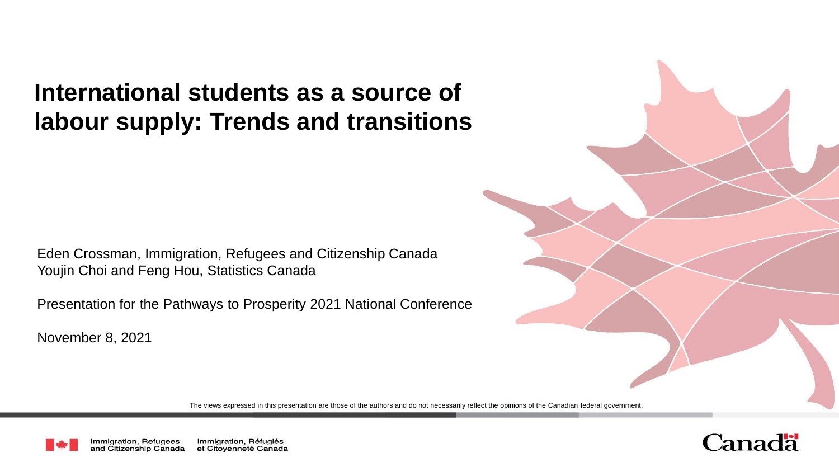# **International students as a source of labour supply: Trends and transitions**

Eden Crossman, Immigration, Refugees and Citizenship Canada Youjin Choi and Feng Hou, Statistics Canada

Presentation for the Pathways to Prosperity 2021 National Conference

November 8, 2021

The views expressed in this presentation are those of the authors and do not necessarily reflect the opinions of the Canadian federal government.



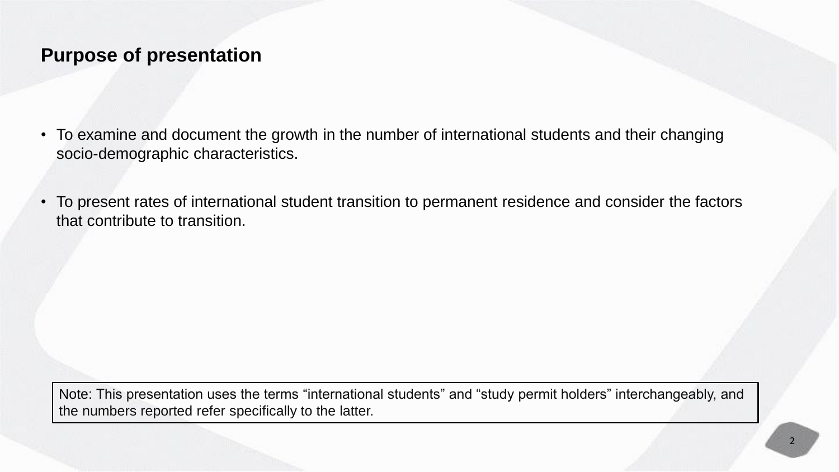### **Purpose of presentation**

- To examine and document the growth in the number of international students and their changing socio-demographic characteristics.
- To present rates of international student transition to permanent residence and consider the factors that contribute to transition.

Note: This presentation uses the terms "international students" and "study permit holders" interchangeably, and the numbers reported refer specifically to the latter.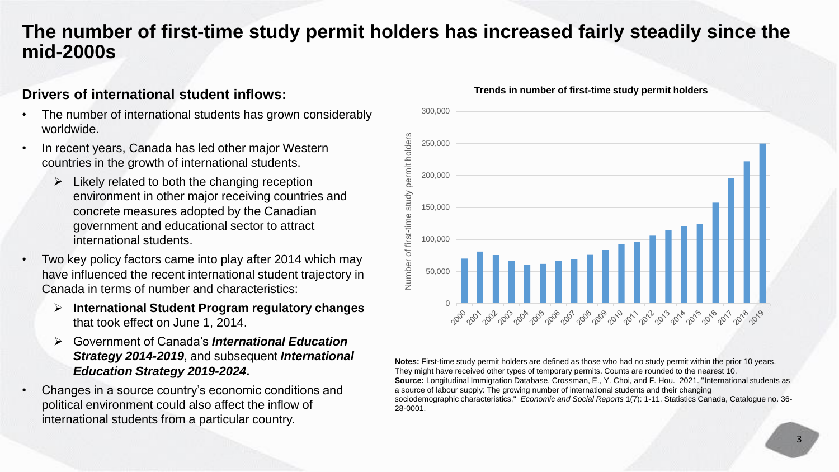## **The number of first-time study permit holders has increased fairly steadily since the mid-2000s**

### **Drivers of international student inflows:**

- The number of international students has grown considerably worldwide.
- In recent years, Canada has led other major Western countries in the growth of international students.
	- $\triangleright$  Likely related to both the changing reception environment in other major receiving countries and concrete measures adopted by the Canadian government and educational sector to attract international students.
- Two key policy factors came into play after 2014 which may have influenced the recent international student trajectory in Canada in terms of number and characteristics:
	- **International Student Program regulatory changes**  that took effect on June 1, 2014.
	- Government of Canada's *International Education Strategy 2014-2019*, and subsequent *International Education Strategy 2019-2024***.**
- Changes in a source country's economic conditions and political environment could also affect the inflow of international students from a particular country.



#### **Trends in number of first-time study permit holders**

**Notes:** First-time study permit holders are defined as those who had no study permit within the prior 10 years. They might have received other types of temporary permits. Counts are rounded to the nearest 10. **Source:** Longitudinal Immigration Database. Crossman, E., Y. Choi, and F. Hou. 2021. "International students as a source of labour supply: The growing number of international students and their changing sociodemographic characteristics." *Economic and Social Reports* 1(7): 1-11. Statistics Canada, Catalogue no. 36- 28-0001.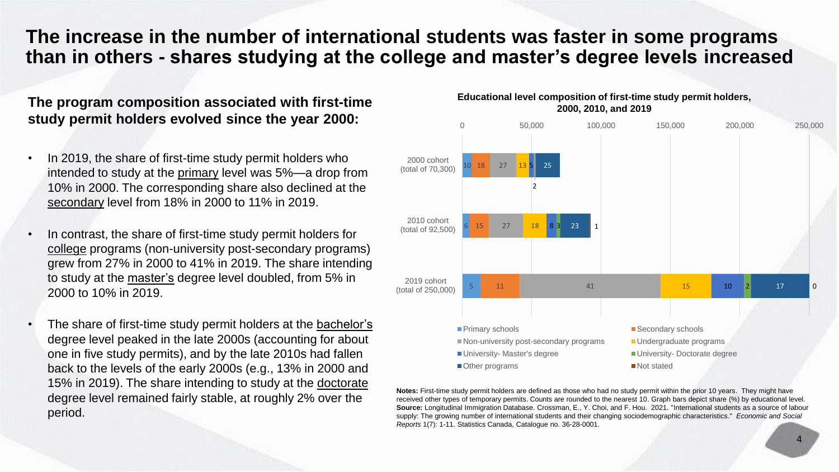### **The increase in the number of international students was faster in some programs than in others - shares studying at the college and master's degree levels increased**

### **The program composition associated with first-time study permit holders evolved since the year 2000:**

- In 2019, the share of first-time study permit holders who intended to study at the primary level was 5%—a drop from 10% in 2000. The corresponding share also declined at the secondary level from 18% in 2000 to 11% in 2019.
- In contrast, the share of first-time study permit holders for college programs (non-university post-secondary programs) grew from 27% in 2000 to 41% in 2019. The share intending to study at the master's degree level doubled, from 5% in 2000 to 10% in 2019.
- The share of first-time study permit holders at the bachelor's degree level peaked in the late 2000s (accounting for about one in five study permits), and by the late 2010s had fallen back to the levels of the early 2000s (e.g., 13% in 2000 and 15% in 2019). The share intending to study at the doctorate degree level remained fairly stable, at roughly 2% over the period.



**2000, 2010, and 2019**

**Educational level composition of first-time study permit holders,** 

**Notes:** First-time study permit holders are defined as those who had no study permit within the prior 10 years. They might have received other types of temporary permits. Counts are rounded to the nearest 10. Graph bars depict share (%) by educational level. **Source:** Longitudinal Immigration Database. Crossman, E., Y. Choi, and F. Hou. 2021. "International students as a source of labour supply: The growing number of international students and their changing sociodemographic characteristics." *Economic and Social Reports* 1(7): 1-11. Statistics Canada, Catalogue no. 36-28-0001.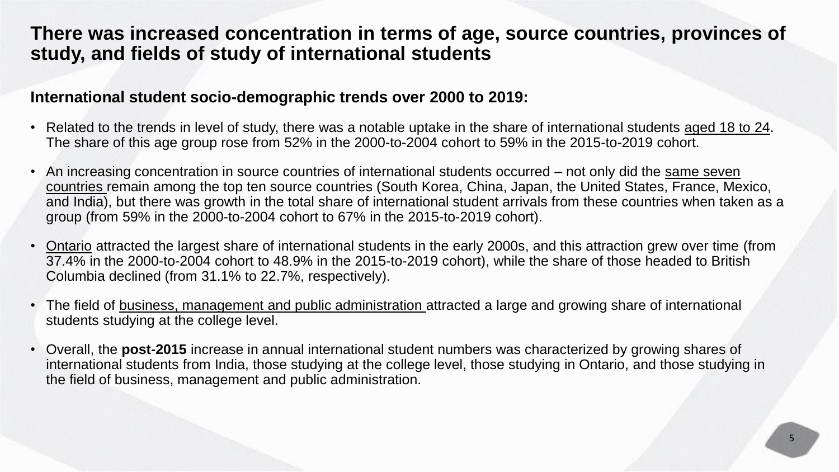## **There was increased concentration in terms of age, source countries, provinces of study, and fields of study of international students**

### **International student socio-demographic trends over 2000 to 2019:**

- Related to the trends in level of study, there was a notable uptake in the share of international students aged 18 to 24. The share of this age group rose from 52% in the 2000-to-2004 cohort to 59% in the 2015-to-2019 cohort.
- An increasing concentration in source countries of international students occurred not only did the same seven countries remain among the top ten source countries (South Korea, China, Japan, the United States, France, Mexico, and India), but there was growth in the total share of international student arrivals from these countries when taken as a group (from 59% in the 2000-to-2004 cohort to 67% in the 2015-to-2019 cohort).
- Ontario attracted the largest share of international students in the early 2000s, and this attraction grew over time (from 37.4% in the 2000-to-2004 cohort to 48.9% in the 2015-to-2019 cohort), while the share of those headed to British Columbia declined (from 31.1% to 22.7%, respectively).
- The field of business, management and public administration attracted a large and growing share of international students studying at the college level.
- Overall, the **post-2015** increase in annual international student numbers was characterized by growing shares of international students from India, those studying at the college level, those studying in Ontario, and those studying in the field of business, management and public administration.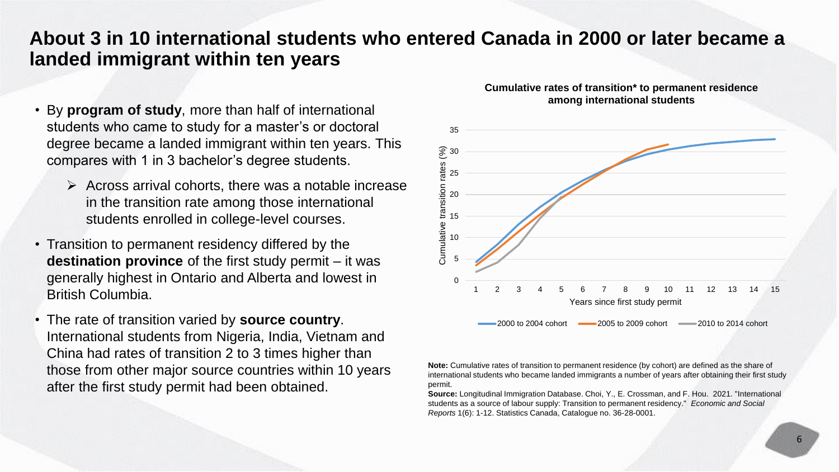### **About 3 in 10 international students who entered Canada in 2000 or later became a landed immigrant within ten years**

- By **program of study**, more than half of international students who came to study for a master's or doctoral degree became a landed immigrant within ten years. This compares with 1 in 3 bachelor's degree students.
	- $\triangleright$  Across arrival cohorts, there was a notable increase in the transition rate among those international students enrolled in college-level courses.
- Transition to permanent residency differed by the **destination province** of the first study permit – it was generally highest in Ontario and Alberta and lowest in British Columbia.
- The rate of transition varied by **source country**. International students from Nigeria, India, Vietnam and China had rates of transition 2 to 3 times higher than those from other major source countries within 10 years after the first study permit had been obtained.



#### **Cumulative rates of transition\* to permanent residence among international students**

**Note:** Cumulative rates of transition to permanent residence (by cohort) are defined as the share of international students who became landed immigrants a number of years after obtaining their first study permit.

**Source:** Longitudinal Immigration Database. Choi, Y., E. Crossman, and F. Hou. 2021. "International students as a source of labour supply: Transition to permanent residency." *Economic and Social Reports* 1(6): 1-12. Statistics Canada, Catalogue no. 36-28-0001.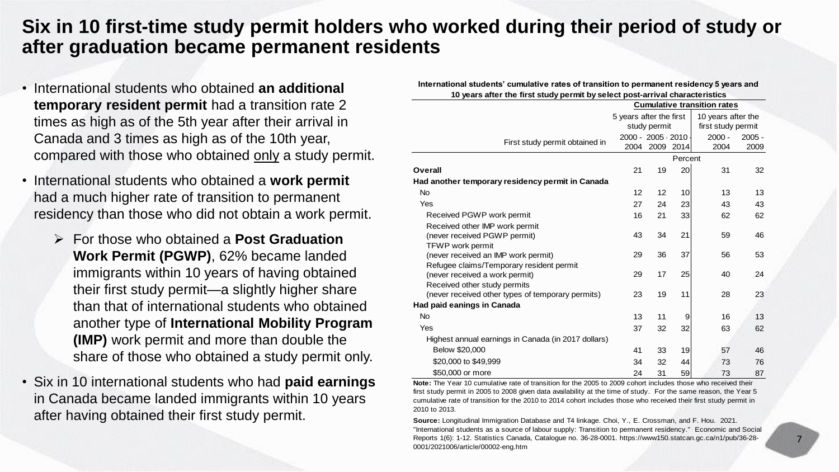## **Six in 10 first-time study permit holders who worked during their period of study or after graduation became permanent residents**

- International students who obtained **an additional temporary resident permit** had a transition rate 2 times as high as of the 5th year after their arrival in Canada and 3 times as high as of the 10th year, compared with those who obtained only a study permit.
- International students who obtained a **work permit**  had a much higher rate of transition to permanent residency than those who did not obtain a work permit.
	- For those who obtained a **Post Graduation Work Permit (PGWP)**, 62% became landed immigrants within 10 years of having obtained their first study permit—a slightly higher share than that of international students who obtained another type of **International Mobility Program (IMP)** work permit and more than double the share of those who obtained a study permit only.
- Six in 10 international students who had **paid earnings**  in Canada became landed immigrants within 10 years

| $\sim$                                                           | 10 years after the first study permit by select post-arrival characteristics                                      |                          |    |                 |                    |          |
|------------------------------------------------------------------|-------------------------------------------------------------------------------------------------------------------|--------------------------|----|-----------------|--------------------|----------|
| <b>temporary resident permit</b> had a transition rate 2         | <b>Cumulative transition rates</b>                                                                                |                          |    |                 |                    |          |
| times as high as of the 5th year after their arrival in          |                                                                                                                   | 5 years after the first  |    |                 | 10 years after the |          |
|                                                                  |                                                                                                                   | study permit             |    |                 | first study permit |          |
| Canada and 3 times as high as of the 10th year,                  | First study permit obtained in                                                                                    | $2000 - 2005 \cdot 2010$ |    |                 | 2000 -             | $2005 -$ |
| compared with those who obtained only a study permit.            |                                                                                                                   | 2004 2009 2014           |    |                 | 2004               | 2009     |
|                                                                  |                                                                                                                   |                          |    | Percent         |                    |          |
|                                                                  | Overall                                                                                                           | 21                       | 19 | <b>20</b>       | 31                 | 32       |
| International students who obtained a <b>work permit</b>         | Had another temporary residency permit in Canada                                                                  |                          |    |                 |                    |          |
| had a much higher rate of transition to permanent                | No.<br>Yes                                                                                                        | 12                       | 12 | 10 <sup>1</sup> | 13                 | 13       |
| residency than those who did not obtain a work permit.           |                                                                                                                   | 27                       | 24 | 23              | 43                 | 43       |
|                                                                  | Received PGWP work permit                                                                                         | 16                       | 21 | 33              | 62                 | 62       |
|                                                                  | Received other IMP work permit<br>(never received PGWP permit)                                                    | 43                       | 34 | 21              | 59                 | 46       |
| $\triangleright$ For those who obtained a <b>Post Graduation</b> | <b>TFWP</b> work permit                                                                                           |                          |    |                 |                    |          |
| Work Permit (PGWP), 62% became landed                            | (never received an IMP work permit)                                                                               | 29                       | 36 | 37              | 56                 | 53       |
|                                                                  | Refugee claims/Temporary resident permit                                                                          |                          |    |                 |                    |          |
| immigrants within 10 years of having obtained                    | (never received a work permit)                                                                                    | 29                       | 17 | 25              | 40                 | 24       |
| their first study permit—a slightly higher share                 | Received other study permits                                                                                      |                          |    | 11              |                    |          |
|                                                                  | (never received other types of temporary permits)<br>Had paid eanings in Canada                                   | 23                       | 19 |                 | 28                 | 23       |
| than that of international students who obtained                 | <b>No</b>                                                                                                         |                          |    |                 |                    |          |
| another type of International Mobility Program                   | Yes                                                                                                               | 13<br>37                 | 11 |                 | 16<br>63           | 13<br>62 |
|                                                                  |                                                                                                                   |                          | 32 | 32              |                    |          |
| (IMP) work permit and more than double the                       | Highest annual earnings in Canada (in 2017 dollars)<br>Below \$20,000                                             | 41                       | 33 | 19              | 57                 | 46       |
| share of those who obtained a study permit only.                 | \$20,000 to \$49,999                                                                                              | 34                       | 32 | 44              | 73                 | 76       |
|                                                                  | \$50,000 or more                                                                                                  | 24                       | 31 | 59              | 73                 | 87       |
| Six in 10 international students who had <b>paid earnings</b>    | Note: The Year 10 cumulative rate of transition for the 2005 to 2009 cohort includes those who received their     |                          |    |                 |                    |          |
|                                                                  | first study permit in 2005 to 2008 given data availability at the time of study. For the same reason, the Year 5  |                          |    |                 |                    |          |
| in Canada became landed immigrants within 10 years               | cumulative rate of transition for the 2010 to 2014 cohort includes those who received their first study permit in |                          |    |                 |                    |          |
| after having obtained their first study permit.                  | 2010 to 2013.                                                                                                     |                          |    |                 |                    |          |
|                                                                  | Source: Longitudinal Immigration Database and T4 linkage, Choi, Y., E. Crossman, and F. Hou, 2021.                |                          |    |                 |                    |          |

**International students' cumulative rates of transition to permanent residency 5 years and** 

**Source:** Longitudinal Immigration Database and T4 linkage. Choi, Y., E. Crossman, and F. Hou. 2021. "International students as a source of labour supply: Transition to permanent residency." Economic and Social Reports 1(6): 1-12. Statistics Canada, Catalogue no. 36-28-0001. https://www150.statcan.gc.ca/n1/pub/36-28- 0001/2021006/article/00002-eng.htm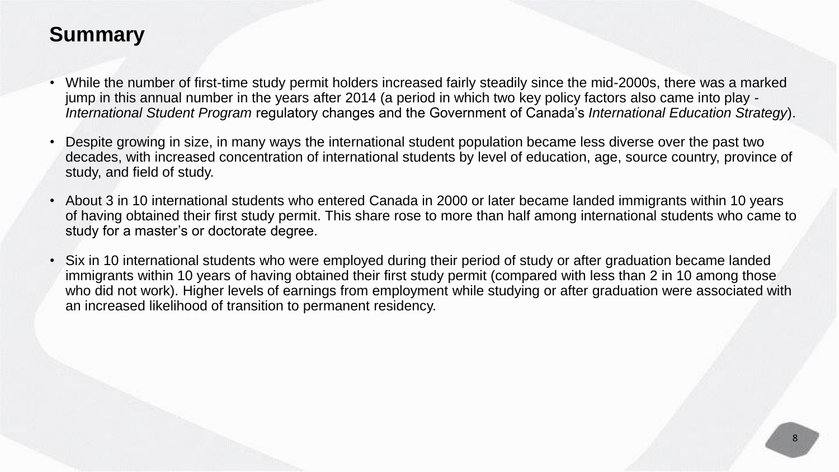## **Summary**

- While the number of first-time study permit holders increased fairly steadily since the mid-2000s, there was a marked jump in this annual number in the years after 2014 (a period in which two key policy factors also came into play - *International Student Program* regulatory changes and the Government of Canada's *International Education Strategy*).
- Despite growing in size, in many ways the international student population became less diverse over the past two decades, with increased concentration of international students by level of education, age, source country, province of study, and field of study.
- About 3 in 10 international students who entered Canada in 2000 or later became landed immigrants within 10 years of having obtained their first study permit. This share rose to more than half among international students who came to study for a master's or doctorate degree.
- Six in 10 international students who were employed during their period of study or after graduation became landed immigrants within 10 years of having obtained their first study permit (compared with less than 2 in 10 among those who did not work). Higher levels of earnings from employment while studying or after graduation were associated with an increased likelihood of transition to permanent residency.